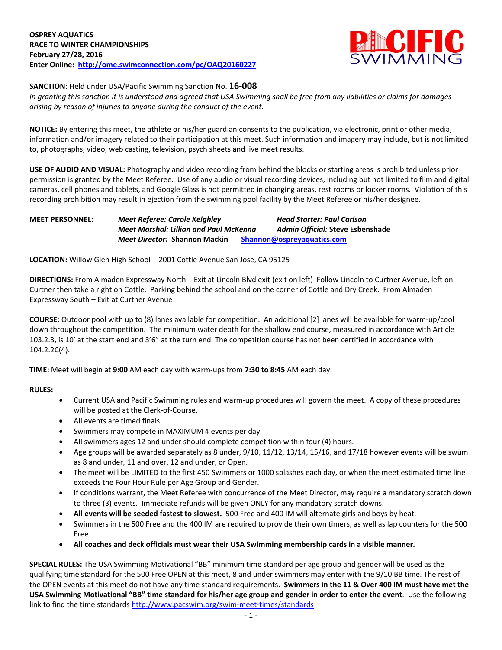

## **SANCTION:** Held under USA/Pacific Swimming Sanction No. **16-008**

*In granting this sanction it is understood and agreed that USA Swimming shall be free from any liabilities or claims for damages arising by reason of injuries to anyone during the conduct of the event.*

**NOTICE:** By entering this meet, the athlete or his/her guardian consents to the publication, via electronic, print or other media, information and/or imagery related to their participation at this meet. Such information and imagery may include, but is not limited to, photographs, video, web casting, television, psych sheets and live meet results.

**USE OF AUDIO AND VISUAL:** Photography and video recording from behind the blocks or starting areas is prohibited unless prior permission is granted by the Meet Referee. Use of any audio or visual recording devices, including but not limited to film and digital cameras, cell phones and tablets, and Google Glass is not permitted in changing areas, rest rooms or locker rooms. Violation of this recording prohibition may result in ejection from the swimming pool facility by the Meet Referee or his/her designee.

## **MEET PERSONNEL:** *Meet Referee: Carole Keighley**Head Starter: Paul Carlson Meet Marshal: Lillian and Paul McKenna**Admin Official:* **Steve Esbenshade** *Meet Director:* **Shannon Mackin [Shannon@ospreyaquatics.com](mailto:Shannon@ospreyaquatics.com)**

**LOCATION:** Willow Glen High School - 2001 Cottle Avenue San Jose, CA 95125

**DIRECTIONS:** From Almaden Expressway North – Exit at Lincoln Blvd exit (exit on left) Follow Lincoln to Curtner Avenue, left on Curtner then take a right on Cottle. Parking behind the school and on the corner of Cottle and Dry Creek. From Almaden Expressway South – Exit at Curtner Avenue

**COURSE:** Outdoor pool with up to (8) lanes available for competition. An additional [2] lanes will be available for warm-up/cool down throughout the competition. The minimum water depth for the shallow end course, measured in accordance with Article 103.2.3, is 10' at the start end and 3'6" at the turn end. The competition course has not been certified in accordance with 104.2.2C(4).

**TIME:** Meet will begin at **9:00** AM each day with warm-ups from **7:30 to 8:45** AM each day.

### **RULES:**

- Current USA and Pacific Swimming rules and warm-up procedures will govern the meet. A copy of these procedures will be posted at the Clerk-of-Course.
- All events are timed finals.
- Swimmers may compete in MAXIMUM 4 events per day.
- All swimmers ages 12 and under should complete competition within four (4) hours.
- Age groups will be awarded separately as 8 under, 9/10, 11/12, 13/14, 15/16, and 17/18 however events will be swum as 8 and under, 11 and over, 12 and under, or Open.
- The meet will be LIMITED to the first 450 Swimmers or 1000 splashes each day, or when the meet estimated time line exceeds the Four Hour Rule per Age Group and Gender.
- If conditions warrant, the Meet Referee with concurrence of the Meet Director, may require a mandatory scratch down to three (3) events. Immediate refunds will be given ONLY for any mandatory scratch downs.
- **All events will be seeded fastest to slowest.** 500 Free and 400 IM will alternate girls and boys by heat.
- Swimmers in the 500 Free and the 400 IM are required to provide their own timers, as well as lap counters for the 500 Free.
- **All coaches and deck officials must wear their USA Swimming membership cards in a visible manner.**

**SPECIAL RULES:** The USA Swimming Motivational "BB" minimum time standard per age group and gender will be used as the qualifying time standard for the 500 Free OPEN at this meet, 8 and under swimmers may enter with the 9/10 BB time. The rest of the OPEN events at this meet do not have any time standard requirements. **Swimmers in the 11 & Over 400 IM must have met the USA Swimming Motivational "BB" time standard for his/her age group and gender in order to enter the event**. Use the following link to find the time standard[s http://www.pacswim.org/swim-meet-times/standards](http://www.pacswim.org/swim-meet-times/standards)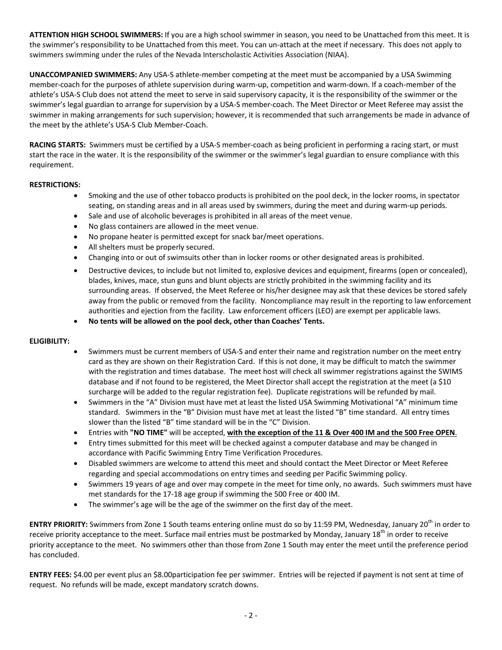**ATTENTION HIGH SCHOOL SWIMMERS:** If you are a high school swimmer in season, you need to be Unattached from this meet. It is the swimmer's responsibility to be Unattached from this meet. You can un-attach at the meet if necessary. This does not apply to swimmers swimming under the rules of the Nevada Interscholastic Activities Association (NIAA).

**UNACCOMPANIED SWIMMERS:** Any USA-S athlete-member competing at the meet must be accompanied by a USA Swimming member-coach for the purposes of athlete supervision during warm-up, competition and warm-down. If a coach-member of the athlete's USA-S Club does not attend the meet to serve in said supervisory capacity, it is the responsibility of the swimmer or the swimmer's legal guardian to arrange for supervision by a USA-S member-coach. The Meet Director or Meet Referee may assist the swimmer in making arrangements for such supervision; however, it is recommended that such arrangements be made in advance of the meet by the athlete's USA-S Club Member-Coach.

**RACING STARTS:** Swimmers must be certified by a USA-S member-coach as being proficient in performing a racing start, or must start the race in the water. It is the responsibility of the swimmer or the swimmer's legal guardian to ensure compliance with this requirement.

# **RESTRICTIONS:**

- Smoking and the use of other tobacco products is prohibited on the pool deck, in the locker rooms, in spectator seating, on standing areas and in all areas used by swimmers, during the meet and during warm-up periods.
- Sale and use of alcoholic beverages is prohibited in all areas of the meet venue.
- No glass containers are allowed in the meet venue.
- No propane heater is permitted except for snack bar/meet operations.
- All shelters must be properly secured.
- Changing into or out of swimsuits other than in locker rooms or other designated areas is prohibited.
- Destructive devices, to include but not limited to, explosive devices and equipment, firearms (open or concealed), blades, knives, mace, stun guns and blunt objects are strictly prohibited in the swimming facility and its surrounding areas. If observed, the Meet Referee or his/her designee may ask that these devices be stored safely away from the public or removed from the facility. Noncompliance may result in the reporting to law enforcement authorities and ejection from the facility. Law enforcement officers (LEO) are exempt per applicable laws.
- **No tents will be allowed on the pool deck, other than Coaches' Tents.**

### **ELIGIBILITY:**

- Swimmers must be current members of USA-S and enter their name and registration number on the meet entry card as they are shown on their Registration Card. If this is not done, it may be difficult to match the swimmer with the registration and times database. The meet host will check all swimmer registrations against the SWIMS database and if not found to be registered, the Meet Director shall accept the registration at the meet (a \$10 surcharge will be added to the regular registration fee). Duplicate registrations will be refunded by mail.
- Swimmers in the "A" Division must have met at least the listed USA Swimming Motivational "A" minimum time standard. Swimmers in the "B" Division must have met at least the listed "B" time standard. All entry times slower than the listed "B" time standard will be in the "C" Division.
- Entries with **"NO TIME"** will be accepted, **with the exception of the 11 & Over 400 IM and the 500 Free OPEN**.
- Entry times submitted for this meet will be checked against a computer database and may be changed in accordance with Pacific Swimming Entry Time Verification Procedures.
- Disabled swimmers are welcome to attend this meet and should contact the Meet Director or Meet Referee regarding and special accommodations on entry times and seeding per Pacific Swimming policy.
- Swimmers 19 years of age and over may compete in the meet for time only, no awards. Such swimmers must have met standards for the 17-18 age group if swimming the 500 Free or 400 IM.
- The swimmer's age will be the age of the swimmer on the first day of the meet.

**ENTRY PRIORITY:** Swimmers from Zone 1 South teams entering online must do so by 11:59 PM, Wednesday, January 20<sup>th</sup> in order to receive priority acceptance to the meet. Surface mail entries must be postmarked by Monday, January 18<sup>th</sup> in order to receive priority acceptance to the meet. No swimmers other than those from Zone 1 South may enter the meet until the preference period has concluded.

**ENTRY FEES:** \$4.00 per event plus an \$8.00participation fee per swimmer. Entries will be rejected if payment is not sent at time of request. No refunds will be made, except mandatory scratch downs.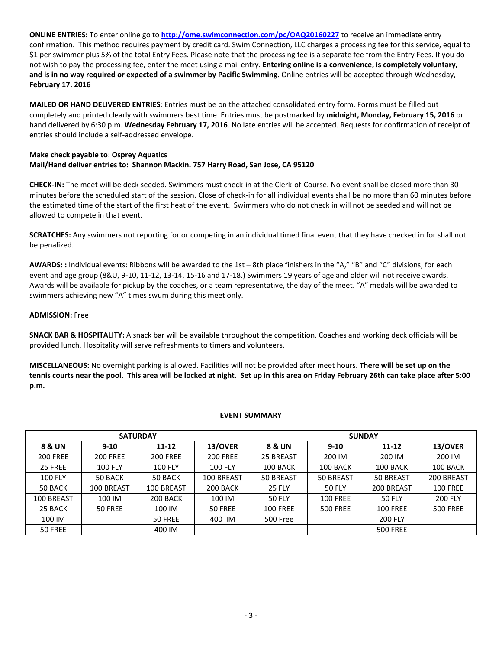**ONLINE ENTRIES:** To enter online go to **<http://ome.swimconnection.com/pc/OAQ20160227>** to receive an immediate entry confirmation. This method requires payment by credit card. Swim Connection, LLC charges a processing fee for this service, equal to \$1 per swimmer plus 5% of the total Entry Fees. Please note that the processing fee is a separate fee from the Entry Fees. If you do not wish to pay the processing fee, enter the meet using a mail entry. **Entering online is a convenience, is completely voluntary, and is in no way required or expected of a swimmer by Pacific Swimming.** Online entries will be accepted through Wednesday, **February 17. 2016**

**MAILED OR HAND DELIVERED ENTRIES**: Entries must be on the attached consolidated entry form. Forms must be filled out completely and printed clearly with swimmers best time. Entries must be postmarked by **midnight, Monday, February 15, 2016** or hand delivered by 6:30 p.m. **Wednesday February 17, 2016**. No late entries will be accepted. Requests for confirmation of receipt of entries should include a self-addressed envelope.

## **Make check payable to**: **Osprey Aquatics Mail/Hand deliver entries to: Shannon Mackin. 757 Harry Road, San Jose, CA 95120**

**CHECK-IN:** The meet will be deck seeded. Swimmers must check-in at the Clerk-of-Course. No event shall be closed more than 30 minutes before the scheduled start of the session. Close of check-in for all individual events shall be no more than 60 minutes before the estimated time of the start of the first heat of the event. Swimmers who do not check in will not be seeded and will not be allowed to compete in that event.

**SCRATCHES:** Any swimmers not reporting for or competing in an individual timed final event that they have checked in for shall not be penalized.

**AWARDS: :** Individual events: Ribbons will be awarded to the 1st – 8th place finishers in the "A," "B" and "C" divisions, for each event and age group (8&U, 9-10, 11-12, 13-14, 15-16 and 17-18.) Swimmers 19 years of age and older will not receive awards. Awards will be available for pickup by the coaches, or a team representative, the day of the meet. "A" medals will be awarded to swimmers achieving new "A" times swum during this meet only.

### **ADMISSION:** Free

**SNACK BAR & HOSPITALITY:** A snack bar will be available throughout the competition. Coaches and working deck officials will be provided lunch. Hospitality will serve refreshments to timers and volunteers.

**MISCELLANEOUS:** No overnight parking is allowed. Facilities will not be provided after meet hours. **There will be set up on the tennis courts near the pool. This area will be locked at night. Set up in this area on Friday February 26th can take place after 5:00 p.m.**

#### **EVENT SUMMARY**

|                 |                 | <b>SATURDAY</b> |                 | <b>SUNDAY</b>   |                 |                 |                 |  |  |
|-----------------|-----------------|-----------------|-----------------|-----------------|-----------------|-----------------|-----------------|--|--|
| 8 & UN          | $9 - 10$        | $11 - 12$       | 13/OVER         | 8 & UN          | $9 - 10$        | $11 - 12$       | 13/OVER         |  |  |
| <b>200 FREE</b> | <b>200 FREE</b> | <b>200 FREE</b> | <b>200 FREE</b> | 25 BREAST       | 200 IM          | 200 IM          | 200 IM          |  |  |
| 25 FREE         | <b>100 FLY</b>  | <b>100 FLY</b>  | <b>100 FLY</b>  | 100 BACK        | 100 BACK        | 100 BACK        | 100 BACK        |  |  |
| <b>100 FLY</b>  | 50 BACK         | 50 BACK         | 100 BREAST      | 50 BREAST       | 50 BREAST       | 50 BREAST       | 200 BREAST      |  |  |
| 50 BACK         | 100 BREAST      | 100 BREAST      | 200 BACK        | <b>25 FLY</b>   | <b>50 FLY</b>   | 200 BREAST      | <b>100 FREE</b> |  |  |
| 100 BREAST      | 100 IM          | 200 BACK        | 100 IM          | <b>50 FLY</b>   | <b>100 FREE</b> | <b>50 FLY</b>   | <b>200 FLY</b>  |  |  |
| 25 BACK         | 50 FREE         | 100 IM          | 50 FREE         | <b>100 FREE</b> | <b>500 FREE</b> | <b>100 FREE</b> | <b>500 FREE</b> |  |  |
| 100 IM          |                 | 50 FREE         | 400 IM          | <b>500 Free</b> |                 | <b>200 FLY</b>  |                 |  |  |
| 50 FREE         |                 | 400 IM          |                 |                 |                 | <b>500 FREE</b> |                 |  |  |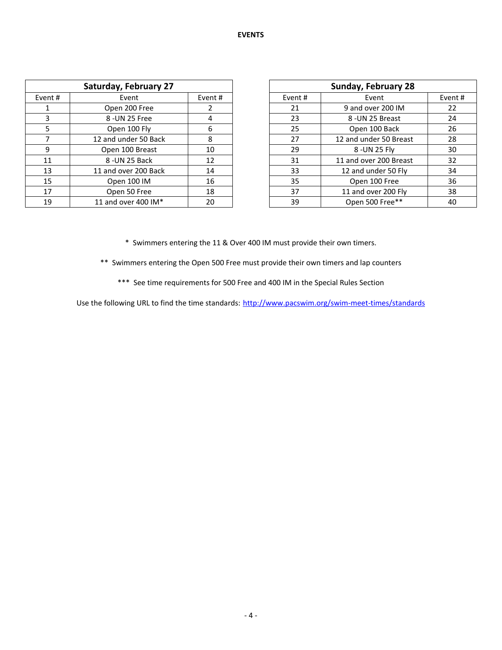|         | <b>Saturday, February 27</b> |    |         | <b>Sunday, February 28</b> |        |
|---------|------------------------------|----|---------|----------------------------|--------|
| Event # | Event                        |    | Event # | Event                      | Event# |
|         | Open 200 Free                |    | 21      | 9 and over 200 IM          |        |
|         | 8 - UN 25 Free               |    | 23      | 8 - UN 25 Breast           |        |
|         | Open 100 Fly                 | 6  | 25      | Open 100 Back              |        |
|         | 12 and under 50 Back         | 8  | 27      | 12 and under 50 Breast     |        |
| 9       | Open 100 Breast              | 10 | 29      | 8 - UN 25 Fly              |        |
| 11      | 8 -UN 25 Back                | 12 | 31      | 11 and over 200 Breast     |        |
| 13      | 11 and over 200 Back         | 14 | 33      | 12 and under 50 Fly        |        |
| 15      | Open 100 IM                  | 16 | 35      | Open 100 Free              |        |
| 17      | Open 50 Free                 | 18 | 37      | 11 and over 200 Fly        |        |
| 19      | 11 and over 400 IM*          | 20 | 39      | Open 500 Free**            |        |

| <b>Sunday, February 28</b> |                        |        |  |  |  |  |  |
|----------------------------|------------------------|--------|--|--|--|--|--|
| Event #                    | Event                  | Event# |  |  |  |  |  |
| 21                         | 9 and over 200 IM      | 22     |  |  |  |  |  |
| 23                         | 8 - UN 25 Breast       | 24     |  |  |  |  |  |
| 25                         | Open 100 Back          | 26     |  |  |  |  |  |
| 27                         | 12 and under 50 Breast | 28     |  |  |  |  |  |
| 29                         | 8 - UN 25 Fly          | 30     |  |  |  |  |  |
| 31                         | 11 and over 200 Breast | 32     |  |  |  |  |  |
| 33                         | 12 and under 50 Fly    | 34     |  |  |  |  |  |
| 35                         | Open 100 Free          | 36     |  |  |  |  |  |
| 37                         | 11 and over 200 Fly    | 38     |  |  |  |  |  |
| 39                         | Open 500 Free**        | 40     |  |  |  |  |  |

\* Swimmers entering the 11 & Over 400 IM must provide their own timers.

\*\* Swimmers entering the Open 500 Free must provide their own timers and lap counters

\*\*\* See time requirements for 500 Free and 400 IM in the Special Rules Section

Use the following URL to find the time standards: <http://www.pacswim.org/swim-meet-times/standards>